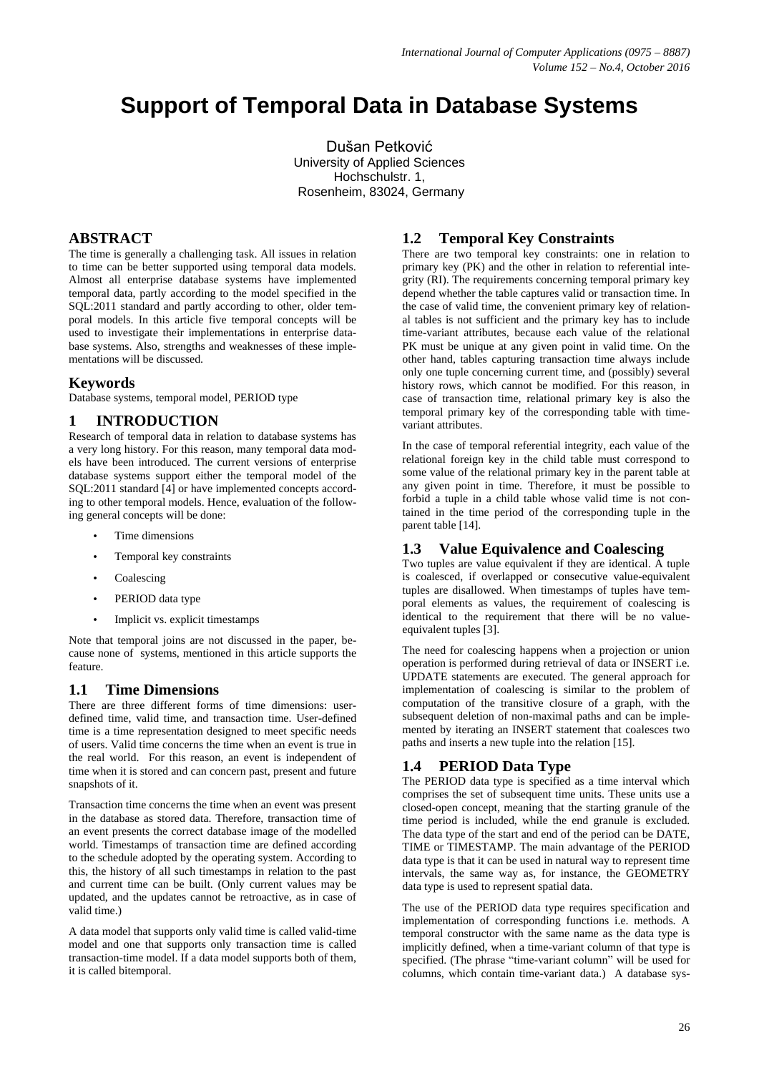# **Support of Temporal Data in Database Systems**

Dušan Petković University of Applied Sciences Hochschulstr. 1, Rosenheim, 83024, Germany

# **ABSTRACT**

The time is generally a challenging task. All issues in relation to time can be better supported using temporal data models. Almost all enterprise database systems have implemented temporal data, partly according to the model specified in the SQL:2011 standard and partly according to other, older temporal models. In this article five temporal concepts will be used to investigate their implementations in enterprise database systems. Also, strengths and weaknesses of these implementations will be discussed.

## **Keywords**

Database systems, temporal model, PERIOD type

# **1 INTRODUCTION**

Research of temporal data in relation to database systems has a very long history. For this reason, many temporal data models have been introduced. The current versions of enterprise database systems support either the temporal model of the SQL:2011 standard [4] or have implemented concepts according to other temporal models. Hence, evaluation of the following general concepts will be done:

- Time dimensions
- Temporal key constraints
- **Coalescing**
- PERIOD data type
- Implicit vs. explicit timestamps

Note that temporal joins are not discussed in the paper, because none of systems, mentioned in this article supports the feature.

# **1.1 Time Dimensions**

There are three different forms of time dimensions: userdefined time, valid time, and transaction time. User-defined time is a time representation designed to meet specific needs of users. Valid time concerns the time when an event is true in the real world. For this reason, an event is independent of time when it is stored and can concern past, present and future snapshots of it.

Transaction time concerns the time when an event was present in the database as stored data. Therefore, transaction time of an event presents the correct database image of the modelled world. Timestamps of transaction time are defined according to the schedule adopted by the operating system. According to this, the history of all such timestamps in relation to the past and current time can be built. (Only current values may be updated, and the updates cannot be retroactive, as in case of valid time.)

A data model that supports only valid time is called valid-time model and one that supports only transaction time is called transaction-time model. If a data model supports both of them, it is called bitemporal.

# **1.2 Temporal Key Constraints**

There are two temporal key constraints: one in relation to primary key (PK) and the other in relation to referential integrity (RI). The requirements concerning temporal primary key depend whether the table captures valid or transaction time. In the case of valid time, the convenient primary key of relational tables is not sufficient and the primary key has to include time-variant attributes, because each value of the relational PK must be unique at any given point in valid time. On the other hand, tables capturing transaction time always include only one tuple concerning current time, and (possibly) several history rows, which cannot be modified. For this reason, in case of transaction time, relational primary key is also the temporal primary key of the corresponding table with timevariant attributes.

In the case of temporal referential integrity, each value of the relational foreign key in the child table must correspond to some value of the relational primary key in the parent table at any given point in time. Therefore, it must be possible to forbid a tuple in a child table whose valid time is not contained in the time period of the corresponding tuple in the parent table [14].

# **1.3 Value Equivalence and Coalescing**

Two tuples are value equivalent if they are identical. A tuple is coalesced, if overlapped or consecutive value-equivalent tuples are disallowed. When timestamps of tuples have temporal elements as values, the requirement of coalescing is identical to the requirement that there will be no valueequivalent tuples [3].

The need for coalescing happens when a projection or union operation is performed during retrieval of data or INSERT i.e. UPDATE statements are executed. The general approach for implementation of coalescing is similar to the problem of computation of the transitive closure of a graph, with the subsequent deletion of non-maximal paths and can be implemented by iterating an INSERT statement that coalesces two paths and inserts a new tuple into the relation [15].

# **1.4 PERIOD Data Type**

The PERIOD data type is specified as a time interval which comprises the set of subsequent time units. These units use a closed-open concept, meaning that the starting granule of the time period is included, while the end granule is excluded. The data type of the start and end of the period can be DATE, TIME or TIMESTAMP. The main advantage of the PERIOD data type is that it can be used in natural way to represent time intervals, the same way as, for instance, the GEOMETRY data type is used to represent spatial data.

The use of the PERIOD data type requires specification and implementation of corresponding functions i.e. methods. A temporal constructor with the same name as the data type is implicitly defined, when a time-variant column of that type is specified. (The phrase "time-variant column" will be used for columns, which contain time-variant data.) A database sys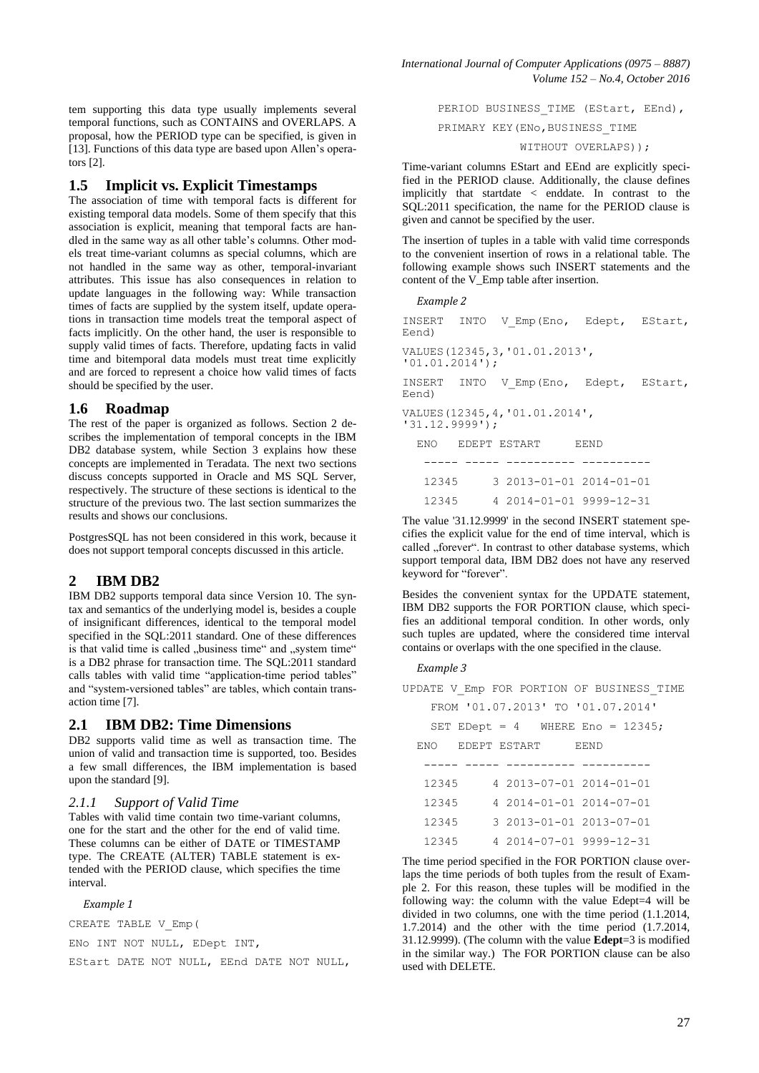tem supporting this data type usually implements several temporal functions, such as CONTAINS and OVERLAPS. A proposal, how the PERIOD type can be specified, is given in [13]. Functions of this data type are based upon Allen's operators [2].

# **1.5 Implicit vs. Explicit Timestamps**

The association of time with temporal facts is different for existing temporal data models. Some of them specify that this association is explicit, meaning that temporal facts are handled in the same way as all other table's columns. Other models treat time-variant columns as special columns, which are not handled in the same way as other, temporal-invariant attributes. This issue has also consequences in relation to update languages in the following way: While transaction times of facts are supplied by the system itself, update operations in transaction time models treat the temporal aspect of facts implicitly. On the other hand, the user is responsible to supply valid times of facts. Therefore, updating facts in valid time and bitemporal data models must treat time explicitly and are forced to represent a choice how valid times of facts should be specified by the user.

#### **1.6 Roadmap**

The rest of the paper is organized as follows. Section 2 describes the implementation of temporal concepts in the IBM DB2 database system, while Section 3 explains how these concepts are implemented in Teradata. The next two sections discuss concepts supported in Oracle and MS SQL Server, respectively. The structure of these sections is identical to the structure of the previous two. The last section summarizes the results and shows our conclusions.

PostgresSQL has not been considered in this work, because it does not support temporal concepts discussed in this article.

# **2 IBM DB2**

IBM DB2 supports temporal data since Version 10. The syntax and semantics of the underlying model is, besides a couple of insignificant differences, identical to the temporal model specified in the SQL:2011 standard. One of these differences is that valid time is called "business time" and "system time" is a DB2 phrase for transaction time. The SQL:2011 standard calls tables with valid time "application-time period tables" and "system-versioned tables" are tables, which contain transaction time [7].

### **2.1 IBM DB2: Time Dimensions**

DB2 supports valid time as well as transaction time. The union of valid and transaction time is supported, too. Besides a few small differences, the IBM implementation is based upon the standard [9].

## *2.1.1 Support of Valid Time*

Tables with valid time contain two time-variant columns, one for the start and the other for the end of valid time. These columns can be either of DATE or TIMESTAMP type. The CREATE (ALTER) TABLE statement is extended with the PERIOD clause, which specifies the time interval.

#### *Example 1*

CREATE TABLE V\_Emp(

ENo INT NOT NULL, EDept INT,

EStart DATE NOT NULL, EEnd DATE NOT NULL,

PERIOD BUSINESS TIME (EStart, EEnd),

PRIMARY KEY(ENO, BUSINESS TIME

WITHOUT OVERLAPS));

Time-variant columns EStart and EEnd are explicitly specified in the PERIOD clause. Additionally, the clause defines implicitly that startdate < enddate. In contrast to the SQL:2011 specification, the name for the PERIOD clause is given and cannot be specified by the user.

The insertion of tuples in a table with valid time corresponds to the convenient insertion of rows in a relational table. The following example shows such INSERT statements and the content of the V\_Emp table after insertion.

*Example 2*

| Eend)             | INSERT INTO V Emp (Eno, Edept, EStart, |             |  |
|-------------------|----------------------------------------|-------------|--|
| $'01.01.2014')$ ; | VALUES (12345, 3, '01.01.2013',        |             |  |
| Eend)             | INSERT INTO V Emp(Eno, Edept, EStart,  |             |  |
| '31.12.9999');    | VALUES (12345, 4, '01.01.2014',        |             |  |
|                   | ENO EDEPT ESTART                       | <b>EEND</b> |  |
|                   |                                        |             |  |
| 12345             | $32013 - 01 - 012014 - 01 - 01$        |             |  |
| 12345             | 4 2014-01-01 9999-12-31                |             |  |

The value '31.12.9999' in the second INSERT statement specifies the explicit value for the end of time interval, which is called "forever". In contrast to other database systems, which support temporal data, IBM DB2 does not have any reserved keyword for "forever".

Besides the convenient syntax for the UPDATE statement, IBM DB2 supports the FOR PORTION clause, which specifies an additional temporal condition. In other words, only such tuples are updated, where the considered time interval contains or overlaps with the one specified in the clause.

#### *Example 3*

UPDATE V\_Emp FOR PORTION OF BUSINESS\_TIME

|       |              | FROM '01.07.2013' TO '01.07.2014'  |
|-------|--------------|------------------------------------|
|       |              | SET EDept = $4$ WHERE Eno = 12345; |
| ENO   | EDEPT ESTART | EEND                               |
|       |              |                                    |
| 12345 |              | 4 2013-07-01 2014-01-01            |
| 12345 |              | 4 2014-01-01 2014-07-01            |
| 12345 |              | 3 2013-01-01 2013-07-01            |
| 12345 |              | 4 2014-07-01 9999-12-31            |

The time period specified in the FOR PORTION clause overlaps the time periods of both tuples from the result of Example 2. For this reason, these tuples will be modified in the following way: the column with the value Edept=4 will be divided in two columns, one with the time period (1.1.2014, 1.7.2014) and the other with the time period (1.7.2014, 31.12.9999). (The column with the value **Edept**=3 is modified in the similar way.) The FOR PORTION clause can be also used with DELETE.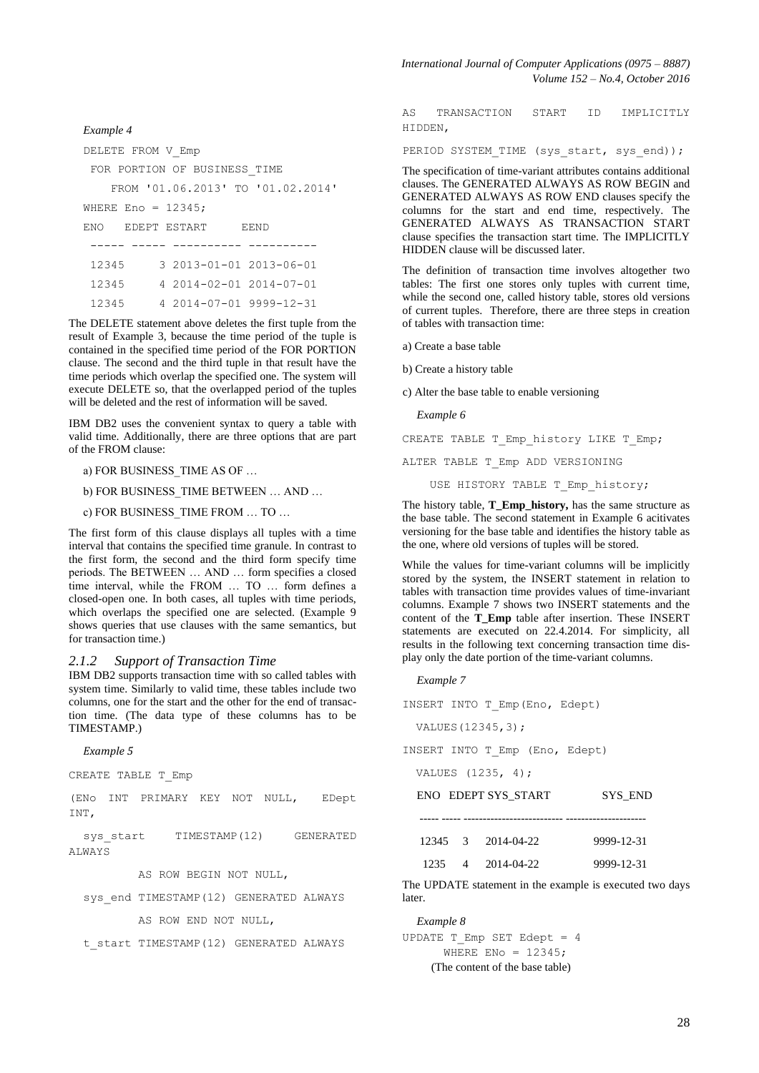*Example 4*

| DELETE FROM V Emp                         |
|-------------------------------------------|
| FOR PORTION OF BUSINESS TIME              |
| FROM '01.06.2013' TO '01.02.2014'         |
| WHERE Eno = $12345$ ;                     |
| ENO EDEPT ESTART<br>EEND                  |
|                                           |
| $32013 - 01 - 012013 - 06 - 01$<br>12345  |
| 12345<br>$42014 - 02 - 0122014 - 07 - 01$ |
| 4 2014-07-01 9999-12-31<br>12345          |

The DELETE statement above deletes the first tuple from the result of Example 3, because the time period of the tuple is contained in the specified time period of the FOR PORTION clause. The second and the third tuple in that result have the time periods which overlap the specified one. The system will execute DELETE so, that the overlapped period of the tuples will be deleted and the rest of information will be saved.

IBM DB2 uses the convenient syntax to query a table with valid time. Additionally, there are three options that are part of the FROM clause:

- a) FOR BUSINESS\_TIME AS OF …
- b) FOR BUSINESS\_TIME BETWEEN … AND …
- c) FOR BUSINESS\_TIME FROM … TO …

The first form of this clause displays all tuples with a time interval that contains the specified time granule. In contrast to the first form, the second and the third form specify time periods. The BETWEEN … AND … form specifies a closed time interval, while the FROM … TO … form defines a closed-open one. In both cases, all tuples with time periods, which overlaps the specified one are selected. (Example 9 shows queries that use clauses with the same semantics, but for transaction time.)

### *2.1.2 Support of Transaction Time*

IBM DB2 supports transaction time with so called tables with system time. Similarly to valid time, these tables include two columns, one for the start and the other for the end of transaction time. (The data type of these columns has to be TIMESTAMP.)

#### *Example 5*

CREATE TABLE T\_Emp

(ENo INT PRIMARY KEY NOT NULL, EDept INT,

sys\_start TIMESTAMP(12) GENERATED ALWAYS

AS ROW BEGIN NOT NULL,

sys end TIMESTAMP(12) GENERATED ALWAYS

AS ROW END NOT NULL,

t\_start TIMESTAMP(12) GENERATED ALWAYS

AS TRANSACTION START ID IMPLICITLY HIDDEN,

PERIOD SYSTEM\_TIME (sys\_start, sys\_end));

The specification of time-variant attributes contains additional clauses. The GENERATED ALWAYS AS ROW BEGIN and GENERATED ALWAYS AS ROW END clauses specify the columns for the start and end time, respectively. The GENERATED ALWAYS AS TRANSACTION START clause specifies the transaction start time. The IMPLICITLY HIDDEN clause will be discussed later.

The definition of transaction time involves altogether two tables: The first one stores only tuples with current time, while the second one, called history table, stores old versions of current tuples. Therefore, there are three steps in creation of tables with transaction time:

a) Create a base table

b) Create a history table

c) Alter the base table to enable versioning

*Example 6*

CREATE TABLE T\_Emp\_history LIKE T\_Emp;

ALTER TABLE T\_Emp ADD VERSIONING

USE HISTORY TABLE T Emp history;

The history table, **T\_Emp\_history,** has the same structure as the base table. The second statement in Example 6 acitivates versioning for the base table and identifies the history table as the one, where old versions of tuples will be stored.

While the values for time-variant columns will be implicitly stored by the system, the INSERT statement in relation to tables with transaction time provides values of time-invariant columns. Example 7 shows two INSERT statements and the content of the **T\_Emp** table after insertion. These INSERT statements are executed on 22.4.2014. For simplicity, all results in the following text concerning transaction time display only the date portion of the time-variant columns.

*Example 7* 

INSERT INTO T\_Emp(Eno, Edept)

VALUES(12345,3);

INSERT INTO T\_Emp (Eno, Edept)

VALUES (1235, 4);

| ENO EDEPT SYS START |                |                    | SYS END    |
|---------------------|----------------|--------------------|------------|
|                     |                |                    |            |
|                     |                | 12345 3 2014-04-22 | 9999-12-31 |
| 1235.               | $\overline{4}$ | 2014-04-22         | 9999-12-31 |

The UPDATE statement in the example is executed two days later.

*Example 8*

UPDATE T\_Emp SET Edept = 4 WHERE ENo =  $12345$ ; (The content of the base table)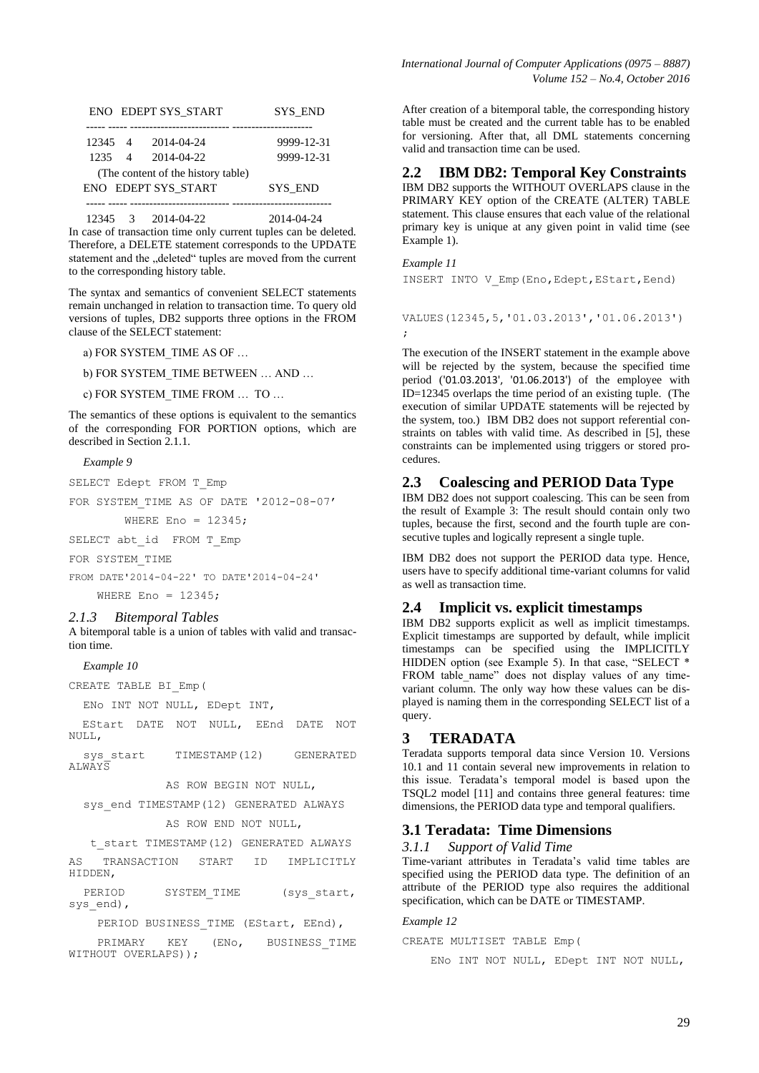|              | ENO EDEPT SYS START                | <b>SYS END</b> |
|--------------|------------------------------------|----------------|
| 12345 4      | 2014-04-24                         | 9999-12-31     |
| 1235 4       | 2014-04-22                         | 9999-12-31     |
|              | (The content of the history table) |                |
|              | ENO EDEPT SYS_START                | <b>SYS END</b> |
| 12345<br>- 3 | 2014-04-22                         | 2014-04-24     |

In case of transaction time only current tuples can be deleted. Therefore, a DELETE statement corresponds to the UPDATE statement and the "deleted" tuples are moved from the current to the corresponding history table.

The syntax and semantics of convenient SELECT statements remain unchanged in relation to transaction time. To query old versions of tuples, DB2 supports three options in the FROM clause of the SELECT statement:

a) FOR SYSTEM\_TIME AS OF …

b) FOR SYSTEM\_TIME BETWEEN … AND …

c) FOR SYSTEM\_TIME FROM … TO …

The semantics of these options is equivalent to the semantics of the corresponding FOR PORTION options, which are described in Section 2.1.1.

*Example 9*

SELECT Edept FROM T\_Emp

FOR SYSTEM\_TIME AS OF DATE '2012-08-07'

WHERE Eno =  $12345$ ;

SELECT abt\_id FROM T\_Emp

FOR SYSTEM\_TIME

FROM DATE'2014-04-22' TO DATE'2014-04-24' WHERE Eno =  $12345$ :

# *2.1.3 Bitemporal Tables*

A bitemporal table is a union of tables with valid and transaction time.

*Example 10*

CREATE TABLE BI\_Emp(

ENo INT NOT NULL, EDept INT,

 EStart DATE NOT NULL, EEnd DATE NOT NULL,

sys\_start TIMESTAMP(12) GENERATED ALWAYS

AS ROW BEGIN NOT NULL,

sys end TIMESTAMP(12) GENERATED ALWAYS AS ROW END NOT NULL,

t\_start TIMESTAMP(12) GENERATED ALWAYS

AS TRANSACTION START ID IMPLICITLY HIDDEN,

PERIOD SYSTEM TIME (sys start, sys\_end),

```
PERIOD BUSINESS TIME (EStart, EEnd),
```
PRIMARY KEY (ENO, BUSINESS TIME WITHOUT OVERLAPS));

After creation of a bitemporal table, the corresponding history table must be created and the current table has to be enabled for versioning. After that, all DML statements concerning valid and transaction time can be used.

**2.2 IBM DB2: Temporal Key Constraints**

IBM DB2 supports the WITHOUT OVERLAPS clause in the PRIMARY KEY option of the CREATE (ALTER) TABLE statement. This clause ensures that each value of the relational primary key is unique at any given point in valid time (see Example 1).

#### *Example 11*

INSERT INTO V Emp(Eno, Edept, EStart, Eend)

VALUES(12345,5,'01.03.2013','01.06.2013') ;

The execution of the INSERT statement in the example above will be rejected by the system, because the specified time period ('01.03.2013', '01.06.2013') of the employee with ID=12345 overlaps the time period of an existing tuple. (The execution of similar UPDATE statements will be rejected by the system, too.) IBM DB2 does not support referential constraints on tables with valid time. As described in [5], these constraints can be implemented using triggers or stored procedures.

# **2.3 Coalescing and PERIOD Data Type**

IBM DB2 does not support coalescing. This can be seen from the result of Example 3: The result should contain only two tuples, because the first, second and the fourth tuple are consecutive tuples and logically represent a single tuple.

IBM DB2 does not support the PERIOD data type. Hence, users have to specify additional time-variant columns for valid as well as transaction time.

# **2.4 Implicit vs. explicit timestamps**

IBM DB2 supports explicit as well as implicit timestamps. Explicit timestamps are supported by default, while implicit timestamps can be specified using the IMPLICITLY HIDDEN option (see Example 5). In that case, "SELECT \* FROM table name" does not display values of any timevariant column. The only way how these values can be displayed is naming them in the corresponding SELECT list of a query.

# **3 TERADATA**

Teradata supports temporal data since Version 10. Versions 10.1 and 11 contain several new improvements in relation to this issue. Teradata's temporal model is based upon the TSQL2 model [11] and contains three general features: time dimensions, the PERIOD data type and temporal qualifiers.

# **3.1 Teradata: Time Dimensions**

*3.1.1 Support of Valid Time*

Time-variant attributes in Teradata's valid time tables are specified using the PERIOD data type. The definition of an attribute of the PERIOD type also requires the additional specification, which can be DATE or TIMESTAMP.

#### *Example 12*

CREATE MULTISET TABLE Emp(

ENo INT NOT NULL, EDept INT NOT NULL,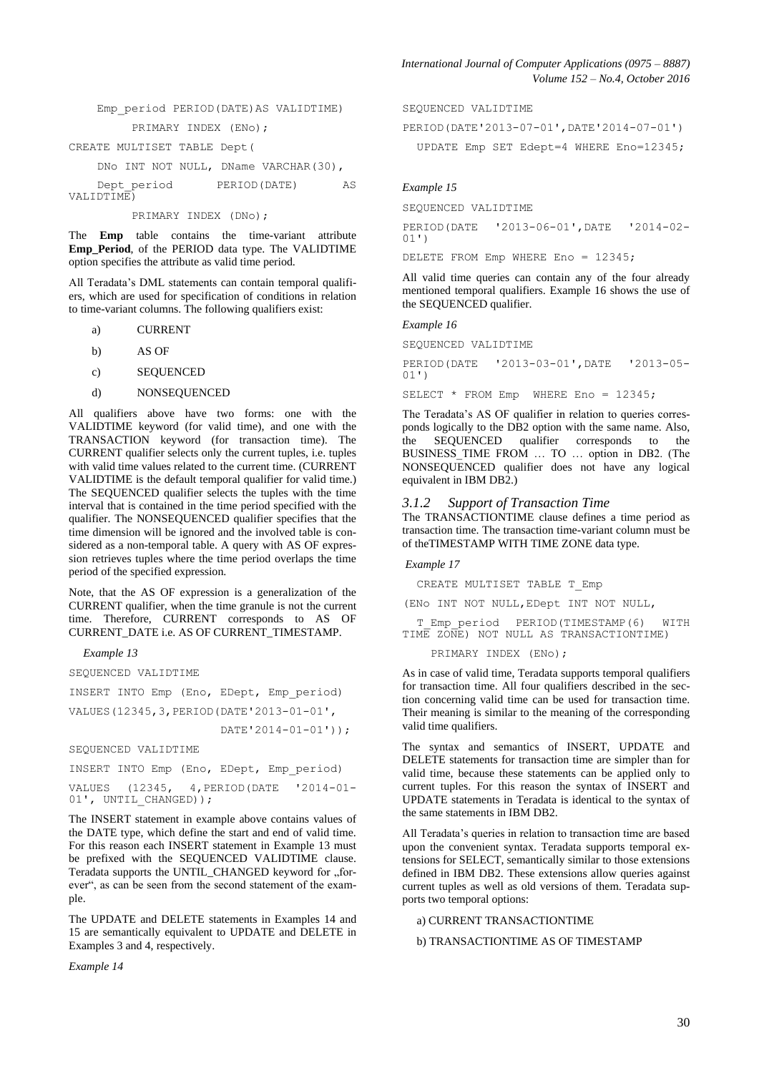*International Journal of Computer Applications (0975 – 8887) Volume 152 – No.4, October 2016*

# Emp\_period PERIOD(DATE)AS VALIDTIME)

#### PRIMARY INDEX (ENo);

CREATE MULTISET TABLE Dept(

DNo INT NOT NULL, DName VARCHAR(30),

Dept\_period PERIOD(DATE) AS VALIDTIME)

#### PRIMARY INDEX (DNo);

The **Emp** table contains the time-variant attribute **Emp\_Period**, of the PERIOD data type. The VALIDTIME option specifies the attribute as valid time period.

All Teradata's DML statements can contain temporal qualifiers, which are used for specification of conditions in relation to time-variant columns. The following qualifiers exist:

- a) CURRENT
- b) AS OF
- c) SEQUENCED

#### d) NONSEQUENCED

All qualifiers above have two forms: one with the VALIDTIME keyword (for valid time), and one with the TRANSACTION keyword (for transaction time). The CURRENT qualifier selects only the current tuples, i.e. tuples with valid time values related to the current time. (CURRENT VALIDTIME is the default temporal qualifier for valid time.) The SEQUENCED qualifier selects the tuples with the time interval that is contained in the time period specified with the qualifier. The NONSEQUENCED qualifier specifies that the time dimension will be ignored and the involved table is considered as a non-temporal table. A query with AS OF expression retrieves tuples where the time period overlaps the time period of the specified expression.

Note, that the AS OF expression is a generalization of the CURRENT qualifier, when the time granule is not the current time. Therefore, CURRENT corresponds to AS OF CURRENT\_DATE i.e. AS OF CURRENT\_TIMESTAMP.

*Example 13*

SEQUENCED VALIDTIME

INSERT INTO Emp (Eno, EDept, Emp\_period) VALUES(12345,3,PERIOD(DATE'2013-01-01', DATE'2014-01-01'));

#### SEQUENCED VALIDTIME

INSERT INTO Emp (Eno, EDept, Emp\_period)

VALUES (12345, 4,PERIOD(DATE '2014-01- 01', UNTIL CHANGED));

The INSERT statement in example above contains values of the DATE type, which define the start and end of valid time. For this reason each INSERT statement in Example 13 must be prefixed with the SEQUENCED VALIDTIME clause. Teradata supports the UNTIL\_CHANGED keyword for "forever", as can be seen from the second statement of the example.

The UPDATE and DELETE statements in Examples 14 and 15 are semantically equivalent to UPDATE and DELETE in Examples 3 and 4, respectively.

SEQUENCED VALIDTIME

PERIOD(DATE'2013-07-01',DATE'2014-07-01')

UPDATE Emp SET Edept=4 WHERE Eno=12345;

#### *Example 15*

SEQUENCED VALIDTIME

PERIOD(DATE '2013-06-01',DATE '2014-02- 01')

DELETE FROM Emp WHERE Eno = 12345;

All valid time queries can contain any of the four already mentioned temporal qualifiers. Example 16 shows the use of the SEQUENCED qualifier.

*Example 16*

SEQUENCED VALIDTIME

PERIOD(DATE '2013-03-01',DATE '2013-05-  $(1'')$ 

SELECT  $*$  FROM Emp WHERE Eno = 12345;

The Teradata's AS OF qualifier in relation to queries corresponds logically to the DB2 option with the same name. Also, the SEQUENCED qualifier corresponds to the BUSINESS\_TIME FROM … TO … option in DB2. (The NONSEQUENCED qualifier does not have any logical equivalent in IBM DB2.)

#### *3.1.2 Support of Transaction Time*

The TRANSACTIONTIME clause defines a time period as transaction time. The transaction time-variant column must be of theTIMESTAMP WITH TIME ZONE data type.

#### *Example 17*

CREATE MULTISET TABLE T\_Emp

(ENo INT NOT NULL,EDept INT NOT NULL,

T\_Emp\_period PERIOD(TIMESTAMP(6) WITH TIME ZONE) NOT NULL AS TRANSACTIONTIME)

PRIMARY INDEX (ENo);

As in case of valid time, Teradata supports temporal qualifiers for transaction time. All four qualifiers described in the section concerning valid time can be used for transaction time. Their meaning is similar to the meaning of the corresponding valid time qualifiers.

The syntax and semantics of INSERT, UPDATE and DELETE statements for transaction time are simpler than for valid time, because these statements can be applied only to current tuples. For this reason the syntax of INSERT and UPDATE statements in Teradata is identical to the syntax of the same statements in IBM DB2.

All Teradata's queries in relation to transaction time are based upon the convenient syntax. Teradata supports temporal extensions for SELECT, semantically similar to those extensions defined in IBM DB2. These extensions allow queries against current tuples as well as old versions of them. Teradata supports two temporal options:

a) CURRENT TRANSACTIONTIME

b) TRANSACTIONTIME AS OF TIMESTAMP

*Example 14*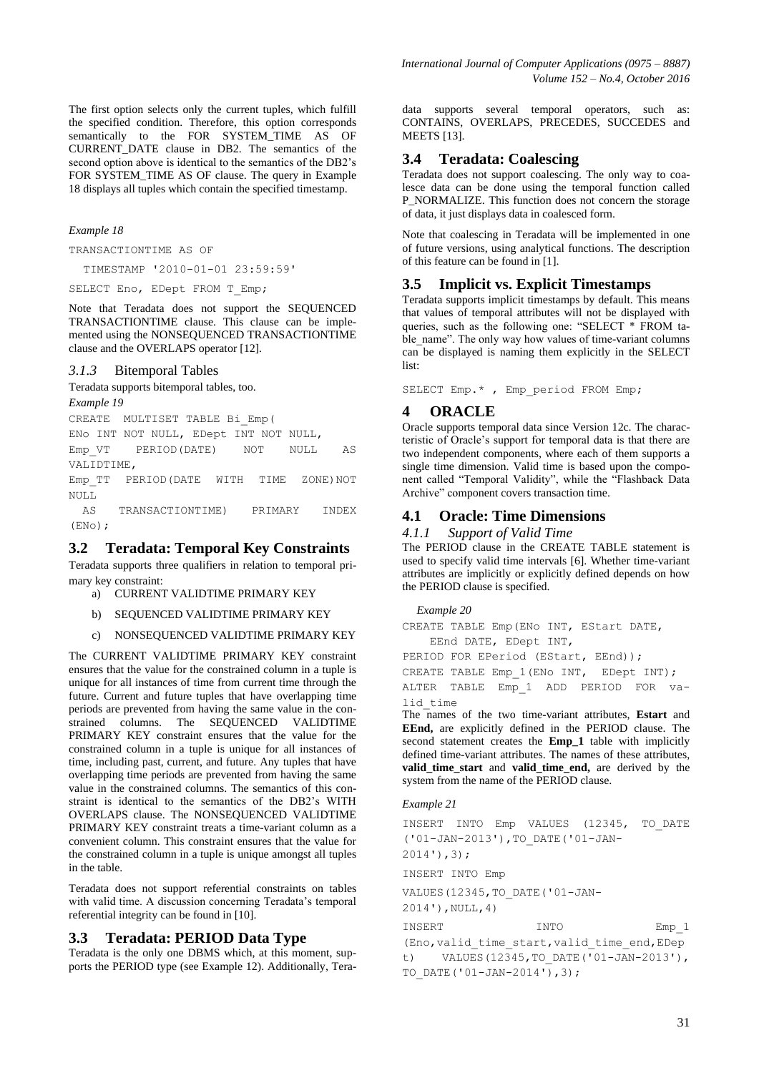The first option selects only the current tuples, which fulfill the specified condition. Therefore, this option corresponds semantically to the FOR SYSTEM\_TIME AS OF CURRENT\_DATE clause in DB2. The semantics of the second option above is identical to the semantics of the DB2's FOR SYSTEM\_TIME AS OF clause. The query in Example 18 displays all tuples which contain the specified timestamp.

*Example 18*

TRANSACTIONTIME AS OF

TIMESTAMP '2010-01-01 23:59:59'

SELECT Eno, EDept FROM T Emp;

Note that Teradata does not support the SEQUENCED TRANSACTIONTIME clause. This clause can be implemented using the NONSEQUENCED TRANSACTIONTIME clause and the OVERLAPS operator [12].

### *3.1.3* Bitemporal Tables

Teradata supports bitemporal tables, too. *Example 19* CREATE MULTISET TABLE Bi\_Emp( ENo INT NOT NULL, EDept INT NOT NULL, Emp\_VT PERIOD(DATE) NOT NULL AS VALIDTIME, Emp\_TT PERIOD(DATE WITH TIME ZONE)NOT NULL. AS TRANSACTIONTIME) PRIMARY INDEX (ENo);

## **3.2 Teradata: Temporal Key Constraints**

Teradata supports three qualifiers in relation to temporal primary key constraint:

- a) CURRENT VALIDTIME PRIMARY KEY
- b) SEQUENCED VALIDTIME PRIMARY KEY
- c) NONSEQUENCED VALIDTIME PRIMARY KEY

The CURRENT VALIDTIME PRIMARY KEY constraint ensures that the value for the constrained column in a tuple is unique for all instances of time from current time through the future. Current and future tuples that have overlapping time periods are prevented from having the same value in the constrained columns. The SEQUENCED VALIDTIME PRIMARY KEY constraint ensures that the value for the constrained column in a tuple is unique for all instances of time, including past, current, and future. Any tuples that have overlapping time periods are prevented from having the same value in the constrained columns. The semantics of this constraint is identical to the semantics of the DB2's WITH OVERLAPS clause. The NONSEQUENCED VALIDTIME PRIMARY KEY constraint treats a time-variant column as a convenient column. This constraint ensures that the value for the constrained column in a tuple is unique amongst all tuples in the table.

Teradata does not support referential constraints on tables with valid time. A discussion concerning Teradata's temporal referential integrity can be found in [10].

### **3.3 Teradata: PERIOD Data Type**

Teradata is the only one DBMS which, at this moment, supports the PERIOD type (see Example 12). Additionally, Teradata supports several temporal operators, such as: CONTAINS, OVERLAPS, PRECEDES, SUCCEDES and **MEETS** [13].

# **3.4 Teradata: Coalescing**

Teradata does not support coalescing. The only way to coalesce data can be done using the temporal function called P\_NORMALIZE. This function does not concern the storage of data, it just displays data in coalesced form.

Note that coalescing in Teradata will be implemented in one of future versions, using analytical functions. The description of this feature can be found in [1].

### **3.5 Implicit vs. Explicit Timestamps**

Teradata supports implicit timestamps by default. This means that values of temporal attributes will not be displayed with queries, such as the following one: "SELECT \* FROM table name". The only way how values of time-variant columns can be displayed is naming them explicitly in the SELECT list:

SELECT Emp.\* , Emp period FROM Emp;

### **4 ORACLE**

Oracle supports temporal data since Version 12c. The characteristic of Oracle's support for temporal data is that there are two independent components, where each of them supports a single time dimension. Valid time is based upon the component called "Temporal Validity", while the "Flashback Data Archive" component covers transaction time.

#### **4.1 Oracle: Time Dimensions**

*4.1.1 Support of Valid Time*

The PERIOD clause in the CREATE TABLE statement is used to specify valid time intervals [6]. Whether time-variant attributes are implicitly or explicitly defined depends on how the PERIOD clause is specified.

*Example 20*

CREATE TABLE Emp(ENo INT, EStart DATE, EEnd DATE, EDept INT, PERIOD FOR EPeriod (EStart, EEnd)); CREATE TABLE Emp 1 (ENo INT, EDept INT); ALTER TABLE Emp\_1 ADD PERIOD FOR valid\_time

The names of the two time-variant attributes, **Estart** and **EEnd,** are explicitly defined in the PERIOD clause. The second statement creates the **Emp\_1** table with implicitly defined time-variant attributes. The names of these attributes, **valid\_time\_start** and **valid\_time\_end,** are derived by the system from the name of the PERIOD clause.

#### *Example 21*

```
INSERT INTO Emp VALUES (12345, TO_DATE 
('01-JAN-2013'),TO_DATE('01-JAN-
2014'),3);
INSERT INTO Emp 
VALUES(12345,TO_DATE('01-JAN-
2014'),NULL,4)
INSERT INTO Emp 1
(Eno, valid time start, valid time end, EDep
t) VALUES(12345, TO DATE('01-JAN-2013'),
```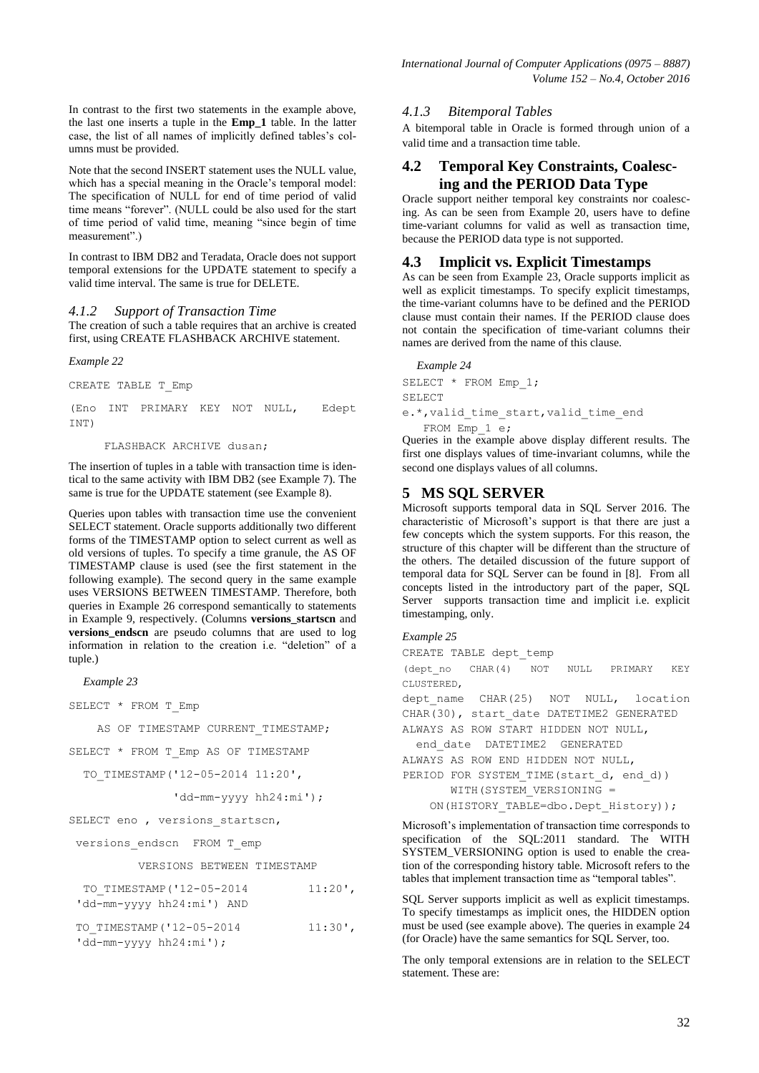*International Journal of Computer Applications (0975 – 8887) Volume 152 – No.4, October 2016*

In contrast to the first two statements in the example above, the last one inserts a tuple in the **Emp\_1** table. In the latter case, the list of all names of implicitly defined tables's columns must be provided.

Note that the second INSERT statement uses the NULL value, which has a special meaning in the Oracle's temporal model: The specification of NULL for end of time period of valid time means "forever". (NULL could be also used for the start of time period of valid time, meaning "since begin of time measurement".)

In contrast to IBM DB2 and Teradata, Oracle does not support temporal extensions for the UPDATE statement to specify a valid time interval. The same is true for DELETE.

### *4.1.2 Support of Transaction Time*

The creation of such a table requires that an archive is created first, using CREATE FLASHBACK ARCHIVE statement.

*Example 22*

CREATE TABLE T\_Emp

(Eno INT PRIMARY KEY NOT NULL, Edept INT)

FLASHBACK ARCHIVE dusan;

The insertion of tuples in a table with transaction time is identical to the same activity with IBM DB2 (see Example 7). The same is true for the UPDATE statement (see Example 8).

Queries upon tables with transaction time use the convenient SELECT statement. Oracle supports additionally two different forms of the TIMESTAMP option to select current as well as old versions of tuples. To specify a time granule, the AS OF TIMESTAMP clause is used (see the first statement in the following example). The second query in the same example uses VERSIONS BETWEEN TIMESTAMP. Therefore, both queries in Example 26 correspond semantically to statements in Example 9, respectively. (Columns **versions\_startscn** and **versions\_endscn** are pseudo columns that are used to log information in relation to the creation i.e. "deletion" of a tuple.)

```
Example 23
```
SELECT \* FROM T\_Emp

AS OF TIMESTAMP CURRENT TIMESTAMP;

SELECT \* FROM T Emp AS OF TIMESTAMP

TO\_TIMESTAMP('12-05-2014 11:20',

'dd-mm-yyyy hh24:mi');

SELECT eno , versions\_startscn,

versions endscn FROM T\_emp

VERSIONS BETWEEN TIMESTAMP

| $11:20$ ', | TO TIMESTAMP ('12-05-2014 |
|------------|---------------------------|
|            | 'dd-mm-yyyy hh24:mi') AND |
| $11:30'$ , | TO TIMESTAMP ('12-05-2014 |

'dd-mm-yyyy hh24:mi');

### *4.1.3 Bitemporal Tables*

A bitemporal table in Oracle is formed through union of a valid time and a transaction time table.

# **4.2 Temporal Key Constraints, Coalescing and the PERIOD Data Type**

Oracle support neither temporal key constraints nor coalescing. As can be seen from Example 20, users have to define time-variant columns for valid as well as transaction time, because the PERIOD data type is not supported.

# **4.3 Implicit vs. Explicit Timestamps**

As can be seen from Example 23, Oracle supports implicit as well as explicit timestamps. To specify explicit timestamps, the time-variant columns have to be defined and the PERIOD clause must contain their names. If the PERIOD clause does not contain the specification of time-variant columns their names are derived from the name of this clause.

*Example 24*

```
SELECT * FROM Emp_1;
SELECT 
e.*, valid time start, valid time end
   FROM Emp 1 e;
```
Queries in the example above display different results. The first one displays values of time-invariant columns, while the second one displays values of all columns.

# **5 MS SQL SERVER**

Microsoft supports temporal data in SQL Server 2016. The characteristic of Microsoft's support is that there are just a few concepts which the system supports. For this reason, the structure of this chapter will be different than the structure of the others. The detailed discussion of the future support of temporal data for SQL Server can be found in [8]. From all concepts listed in the introductory part of the paper, SQL Server supports transaction time and implicit i.e. explicit timestamping, only.

#### *Example 25*

CREATE TABLE dept\_temp (dept\_no CHAR(4) NOT NULL PRIMARY KEY CLUSTERED, dept\_name CHAR(25) NOT NULL, location CHAR(30), start date DATETIME2 GENERATED ALWAYS AS ROW START HIDDEN NOT NULL, end date DATETIME2 GENERATED ALWAYS AS ROW END HIDDEN NOT NULL, PERIOD FOR SYSTEM TIME(start d, end d)) WITH(SYSTEM\_VERSIONING = ON(HISTORY\_TABLE=dbo.Dept\_History));

Microsoft's implementation of transaction time corresponds to specification of the SQL:2011 standard. The WITH SYSTEM\_VERSIONING option is used to enable the creation of the corresponding history table. Microsoft refers to the tables that implement transaction time as "temporal tables".

SQL Server supports implicit as well as explicit timestamps. To specify timestamps as implicit ones, the HIDDEN option must be used (see example above). The queries in example 24 (for Oracle) have the same semantics for SQL Server, too.

The only temporal extensions are in relation to the SELECT statement. These are: